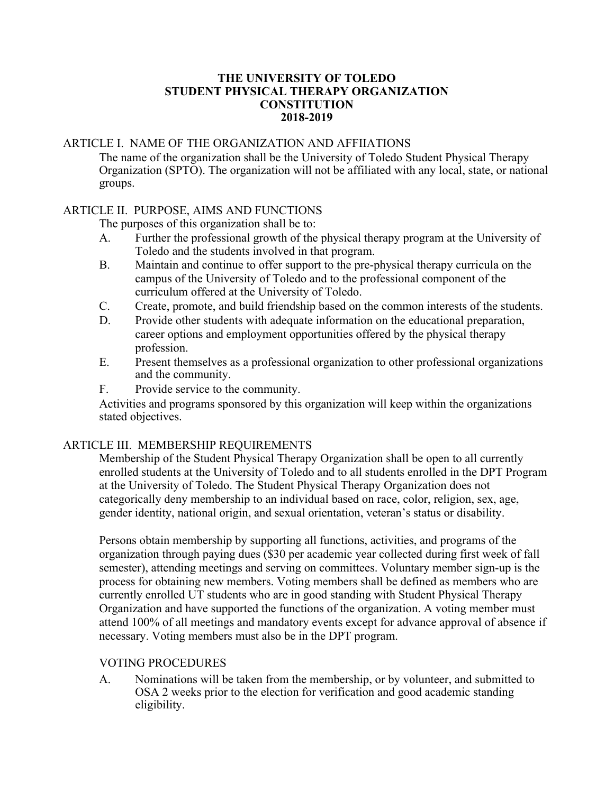#### **THE UNIVERSITY OF TOLEDO STUDENT PHYSICAL THERAPY ORGANIZATION CONSTITUTION 2018-2019**

# ARTICLE I. NAME OF THE ORGANIZATION AND AFFIIATIONS

The name of the organization shall be the University of Toledo Student Physical Therapy Organization (SPTO). The organization will not be affiliated with any local, state, or national groups.

# ARTICLE II. PURPOSE, AIMS AND FUNCTIONS

The purposes of this organization shall be to:

- A. Further the professional growth of the physical therapy program at the University of Toledo and the students involved in that program.
- B. Maintain and continue to offer support to the pre-physical therapy curricula on the campus of the University of Toledo and to the professional component of the curriculum offered at the University of Toledo.
- C. Create, promote, and build friendship based on the common interests of the students.
- D. Provide other students with adequate information on the educational preparation, career options and employment opportunities offered by the physical therapy profession.
- E. Present themselves as a professional organization to other professional organizations and the community.
- F. Provide service to the community.

Activities and programs sponsored by this organization will keep within the organizations stated objectives.

# ARTICLE III. MEMBERSHIP REQUIREMENTS

Membership of the Student Physical Therapy Organization shall be open to all currently enrolled students at the University of Toledo and to all students enrolled in the DPT Program at the University of Toledo. The Student Physical Therapy Organization does not categorically deny membership to an individual based on race, color, religion, sex, age, gender identity, national origin, and sexual orientation, veteran's status or disability.

Persons obtain membership by supporting all functions, activities, and programs of the organization through paying dues (\$30 per academic year collected during first week of fall semester), attending meetings and serving on committees. Voluntary member sign-up is the process for obtaining new members. Voting members shall be defined as members who are currently enrolled UT students who are in good standing with Student Physical Therapy Organization and have supported the functions of the organization. A voting member must attend 100% of all meetings and mandatory events except for advance approval of absence if necessary. Voting members must also be in the DPT program.

#### VOTING PROCEDURES

A. Nominations will be taken from the membership, or by volunteer, and submitted to OSA 2 weeks prior to the election for verification and good academic standing eligibility.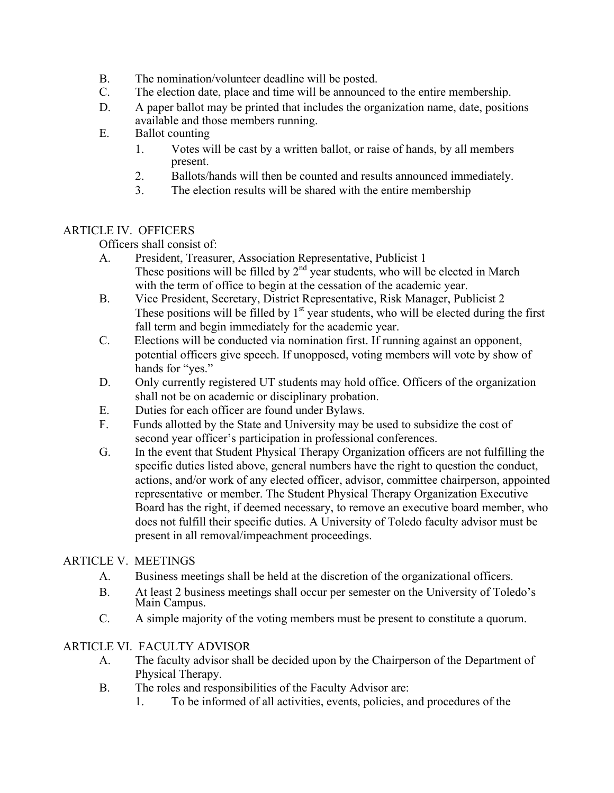- B. The nomination/volunteer deadline will be posted.
- C. The election date, place and time will be announced to the entire membership.
- D. A paper ballot may be printed that includes the organization name, date, positions available and those members running.
- E. Ballot counting
	- 1. Votes will be cast by a written ballot, or raise of hands, by all members present.
	- 2. Ballots/hands will then be counted and results announced immediately.
	- 3. The election results will be shared with the entire membership

# ARTICLE IV. OFFICERS

Officers shall consist of:

- A. President, Treasurer, Association Representative, Publicist 1 These positions will be filled by  $2<sup>nd</sup>$  year students, who will be elected in March with the term of office to begin at the cessation of the academic year.
- B. Vice President, Secretary, District Representative, Risk Manager, Publicist 2 These positions will be filled by  $1<sup>st</sup>$  year students, who will be elected during the first fall term and begin immediately for the academic year.
- C. Elections will be conducted via nomination first. If running against an opponent, potential officers give speech. If unopposed, voting members will vote by show of hands for "yes."
- D. Only currently registered UT students may hold office. Officers of the organization shall not be on academic or disciplinary probation.
- E. Duties for each officer are found under Bylaws.
- F. Funds allotted by the State and University may be used to subsidize the cost of second year officer's participation in professional conferences.
- G. In the event that Student Physical Therapy Organization officers are not fulfilling the specific duties listed above, general numbers have the right to question the conduct, actions, and/or work of any elected officer, advisor, committee chairperson, appointed representative or member. The Student Physical Therapy Organization Executive Board has the right, if deemed necessary, to remove an executive board member, who does not fulfill their specific duties. A University of Toledo faculty advisor must be present in all removal/impeachment proceedings.

# ARTICLE V. MEETINGS

- A. Business meetings shall be held at the discretion of the organizational officers.
- B. At least 2 business meetings shall occur per semester on the University of Toledo's Main Campus.
- C. A simple majority of the voting members must be present to constitute a quorum.

# ARTICLE VI. FACULTY ADVISOR

- A. The faculty advisor shall be decided upon by the Chairperson of the Department of Physical Therapy.
- B. The roles and responsibilities of the Faculty Advisor are:
	- 1. To be informed of all activities, events, policies, and procedures of the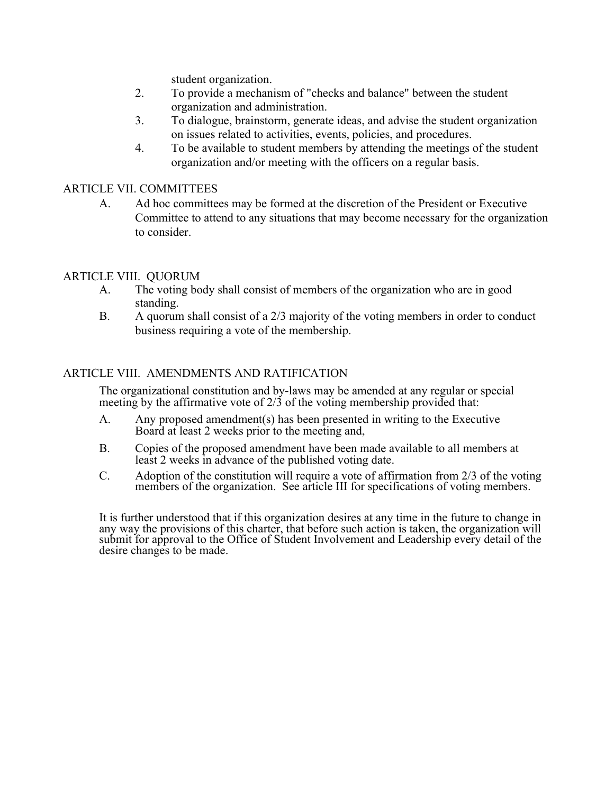student organization.

- 2. To provide a mechanism of "checks and balance" between the student organization and administration.
- 3. To dialogue, brainstorm, generate ideas, and advise the student organization on issues related to activities, events, policies, and procedures.
- 4. To be available to student members by attending the meetings of the student organization and/or meeting with the officers on a regular basis.

#### ARTICLE VII. COMMITTEES

A. Ad hoc committees may be formed at the discretion of the President or Executive Committee to attend to any situations that may become necessary for the organization to consider.

## ARTICLE VIII. QUORUM

- A. The voting body shall consist of members of the organization who are in good standing.
- B. A quorum shall consist of a 2/3 majority of the voting members in order to conduct business requiring a vote of the membership.

## ARTICLE VIII. AMENDMENTS AND RATIFICATION

The organizational constitution and by-laws may be amended at any regular or special meeting by the affirmative vote of  $2/3$  of the voting membership provided that:

- A. Any proposed amendment(s) has been presented in writing to the Executive Board at least 2 weeks prior to the meeting and,
- B. Copies of the proposed amendment have been made available to all members at least 2 weeks in advance of the published voting date.
- C. Adoption of the constitution will require a vote of affirmation from 2/3 of the voting members of the organization. See article III for specifications of voting members.

It is further understood that if this organization desires at any time in the future to change in any way the provisions of this charter, that before such action is taken, the organization will submit for approval to the Office of Student Involvement and Leadership every detail of the desire changes to be made.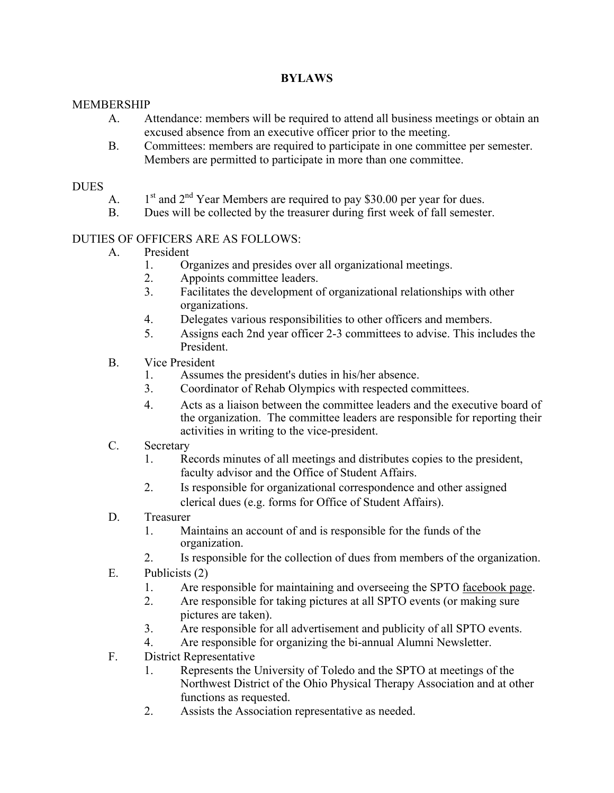# **BYLAWS**

## MEMBERSHIP

- A. Attendance: members will be required to attend all business meetings or obtain an excused absence from an executive officer prior to the meeting.
- B. Committees: members are required to participate in one committee per semester. Members are permitted to participate in more than one committee.

#### **DUES**

- A.  $1<sup>st</sup>$  and  $2<sup>nd</sup>$  Year Members are required to pay \$30.00 per year for dues.
- B. Dues will be collected by the treasurer during first week of fall semester.

# DUTIES OF OFFICERS ARE AS FOLLOWS:

- A. President
	- 1. Organizes and presides over all organizational meetings.<br>2. Appoints committee leaders
	- Appoints committee leaders.
	- 3. Facilitates the development of organizational relationships with other organizations.
	- 4. Delegates various responsibilities to other officers and members.
	- 5. Assigns each 2nd year officer 2-3 committees to advise. This includes the President.
- B. Vice President
	- 1. Assumes the president's duties in his/her absence.
	- 3. Coordinator of Rehab Olympics with respected committees.
	- 4. Acts as a liaison between the committee leaders and the executive board of the organization. The committee leaders are responsible for reporting their activities in writing to the vice-president.
- C. Secretary
	- 1. Records minutes of all meetings and distributes copies to the president, faculty advisor and the Office of Student Affairs.
	- 2. Is responsible for organizational correspondence and other assigned clerical dues (e.g. forms for Office of Student Affairs).
- D. Treasurer
	- 1. Maintains an account of and is responsible for the funds of the organization.
	- 2. Is responsible for the collection of dues from members of the organization.
- E. Publicists (2)
	- 1. Are responsible for maintaining and overseeing the SPTO facebook page.
	- 2. Are responsible for taking pictures at all SPTO events (or making sure pictures are taken).
	- 3. Are responsible for all advertisement and publicity of all SPTO events.
	- 4. Are responsible for organizing the bi-annual Alumni Newsletter.
- F. District Representative
	- 1. Represents the University of Toledo and the SPTO at meetings of the Northwest District of the Ohio Physical Therapy Association and at other functions as requested.
	- 2. Assists the Association representative as needed.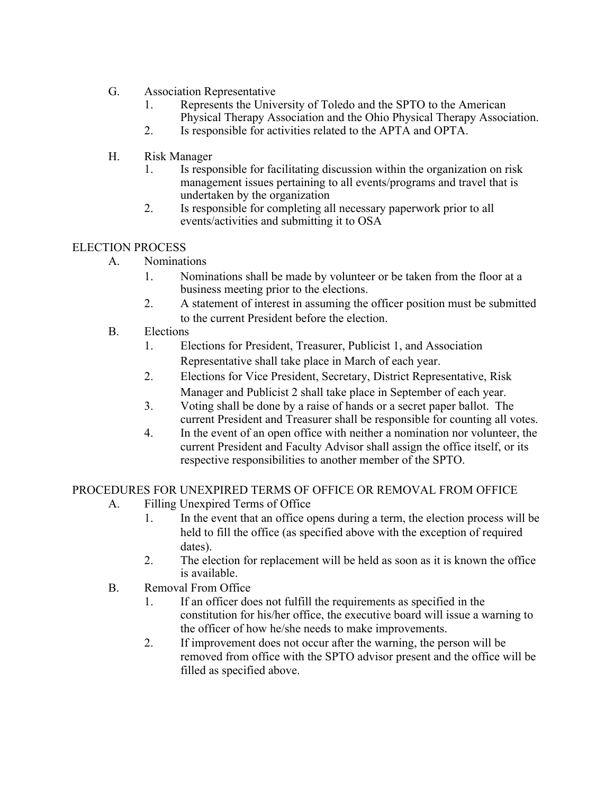- G. Association Representative
	- 1. Represents the University of Toledo and the SPTO to the American Physical Therapy Association and the Ohio Physical Therapy Association.
	- 2. Is responsible for activities related to the APTA and OPTA.
- H. Risk Manager
	- 1. Is responsible for facilitating discussion within the organization on risk management issues pertaining to all events/programs and travel that is undertaken by the organization
	- 2. Is responsible for completing all necessary paperwork prior to all events/activities and submitting it to OSA

# ELECTION PROCESS

- A. Nominations
	- 1. Nominations shall be made by volunteer or be taken from the floor at a business meeting prior to the elections.
	- 2. A statement of interest in assuming the officer position must be submitted to the current President before the election.
- B. Elections
	- 1. Elections for President, Treasurer, Publicist 1, and Association Representative shall take place in March of each year.
	- 2. Elections for Vice President, Secretary, District Representative, Risk Manager and Publicist 2 shall take place in September of each year.
	- 3. Voting shall be done by a raise of hands or a secret paper ballot. The current President and Treasurer shall be responsible for counting all votes.
	- 4. In the event of an open office with neither a nomination nor volunteer, the current President and Faculty Advisor shall assign the office itself, or its respective responsibilities to another member of the SPTO.

PROCEDURES FOR UNEXPIRED TERMS OF OFFICE OR REMOVAL FROM OFFICE

- A. Filling Unexpired Terms of Office
	- 1. In the event that an office opens during a term, the election process will be held to fill the office (as specified above with the exception of required dates).
	- 2. The election for replacement will be held as soon as it is known the office is available.
- B. Removal From Office
	- 1. If an officer does not fulfill the requirements as specified in the constitution for his/her office, the executive board will issue a warning to the officer of how he/she needs to make improvements.
	- 2. If improvement does not occur after the warning, the person will be removed from office with the SPTO advisor present and the office will be filled as specified above.